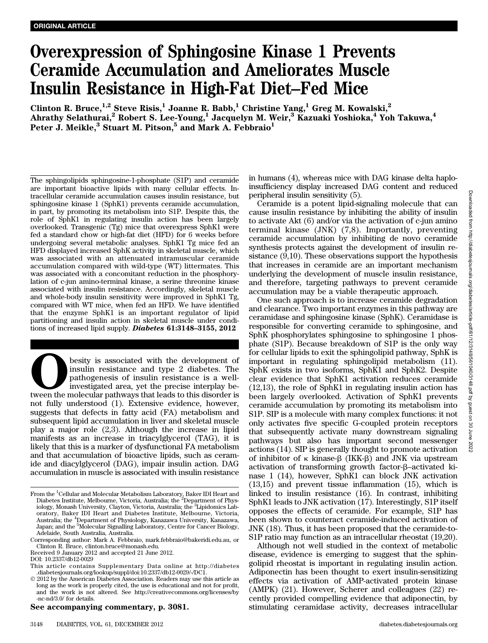# Overexpression of Sphingosine Kinase 1 Prevents Ceramide Accumulation and Ameliorates Muscle Insulin Resistance in High-Fat Diet–Fed Mice

Clinton R. Bruce,<sup>1,2</sup> Steve Risis,<sup>1</sup> Joanne R. Babb,<sup>1</sup> Christine Yang,<sup>1</sup> Greg M. Kowalski,<sup>2</sup> Ahrathy Selathurai, $^2$  Robert S. Lee-Young, $^1$  Jacquelyn M. Weir, $^3$  Kazuaki Yoshioka, $^4$  Yoh Takuwa, $^4$ Peter J. Meikle,<sup>3</sup> Stuart M. Pitson,<sup>5</sup> and Mark A. Febbraio<sup>1</sup>

The sphingolipids sphingosine-1-phosphate (S1P) and ceramide are important bioactive lipids with many cellular effects. Intracellular ceramide accumulation causes insulin resistance, but sphingosine kinase 1 (SphK1) prevents ceramide accumulation, in part, by promoting its metabolism into S1P. Despite this, the role of SphK1 in regulating insulin action has been largely overlooked. Transgenic (Tg) mice that overexpress SphK1 were fed a standard chow or high-fat diet (HFD) for 6 weeks before undergoing several metabolic analyses. SphK1 Tg mice fed an HFD displayed increased SphK activity in skeletal muscle, which was associated with an attenuated intramuscular ceramide accumulation compared with wild-type (WT) littermates. This was associated with a concomitant reduction in the phosphorylation of c-jun amino-terminal kinase, a serine threonine kinase associated with insulin resistance. Accordingly, skeletal muscle and whole-body insulin sensitivity were improved in SphK1 Tg, compared with WT mice, when fed an HFD. We have identified that the enzyme SphK1 is an important regulator of lipid partitioning and insulin action in skeletal muscle under conditions of increased lipid supply. Diabetes 61:3148–3155, 2012

**Example 12** besity is associated with the development of insulin resistance and type 2 diabetes. The pathogenesis of insulin resistance is a well-investigated area, yet the precise interplay between the molecular pathways insulin resistance and type 2 diabetes. The pathogenesis of insulin resistance is a wellinvestigated area, yet the precise interplay benot fully understood (1). Extensive evidence, however, suggests that defects in fatty acid (FA) metabolism and subsequent lipid accumulation in liver and skeletal muscle play a major role (2,3). Although the increase in lipid manifests as an increase in triacylglycerol (TAG), it is likely that this is a marker of dysfunctional FA metabolism and that accumulation of bioactive lipids, such as ceramide and diacylglycerol (DAG), impair insulin action. DAG accumulation in muscle is associated with insulin resistance

Received 9 January 2012 and accepted 21 June 2012.

See accompanying commentary, p. 3081.

in humans (4), whereas mice with DAG kinase delta haploinsufficiency display increased DAG content and reduced peripheral insulin sensitivity (5).

Ceramide is a potent lipid-signaling molecule that can cause insulin resistance by inhibiting the ability of insulin to activate Akt (6) and/or via the activation of c-jun amino terminal kinase (JNK) (7,8). Importantly, preventing ceramide accumulation by inhibiting de novo ceramide synthesis protects against the development of insulin resistance (9,10). These observations support the hypothesis that increases in ceramide are an important mechanism underlying the development of muscle insulin resistance, and therefore, targeting pathways to prevent ceramide accumulation may be a viable therapeutic approach.

One such approach is to increase ceramide degradation and clearance. Two important enzymes in this pathway are ceramidase and sphingosine kinase (SphK). Ceramidase is responsible for converting ceramide to sphingosine, and SphK phosphorylates sphingosine to sphingosine 1 phosphate (S1P). Because breakdown of S1P is the only way for cellular lipids to exit the sphingolipid pathway, SphK is important in regulating sphingolipid metabolism (11). SphK exists in two isoforms, SphK1 and SphK2. Despite clear evidence that SphK1 activation reduces ceramide (12,13), the role of SphK1 in regulating insulin action has been largely overlooked. Activation of SphK1 prevents ceramide accumulation by promoting its metabolism into S1P. SIP is a molecule with many complex functions: it not only activates five specific G-coupled protein receptors that subsequently activate many downstream signaling pathways but also has important second messenger actions (14). SIP is generally thought to promote activation of inhibitor of  $\kappa$  kinase- $\beta$  (IKK- $\beta$ ) and JNK via upstream activation of transforming growth factor- $\beta$ -activated kinase 1 (14), however, SphK1 can block JNK activation (13,15) and prevent tissue inflammation (15), which is linked to insulin resistance (16). In contrast, inhibiting SphK1 leads to JNK activation (17). Interestingly, S1P itself opposes the effects of ceramide. For example, S1P has been shown to counteract ceramide-induced activation of JNK (18). Thus, it has been proposed that the ceramide-to-S1P ratio may function as an intracellular rheostat (19,20).

Although not well studied in the context of metabolic disease, evidence is emerging to suggest that the sphingolipid rheostat is important in regulating insulin action. Adiponectin has been thought to exert insulin-sensitizing effects via activation of AMP-activated protein kinase (AMPK) (21). However, Scherer and colleagues (22) recently provided compelling evidence that adiponectin, by stimulating ceramidase activity, decreases intracellular

From the <sup>1</sup>Cellular and Molecular Metabolism Laboratory, Baker IDI Heart and Diabetes Institute, Melbourne, Victoria, Australia; the <sup>2</sup>Department of Physiology, Monash University, Clayton, Victoria, Australia; the <sup>3</sup>Lipidomics Laboratory, Baker IDI Heart and Diabetes Institute, Melbourne, Victoria, Australia; the <sup>4</sup> Department of Physiology, Kanazawa University, Kanazawa, Japan; and the <sup>5</sup> Molecular Signalling Laboratory, Centre for Cancer Biology, Adelaide, South Australia, Australia.

Corresponding author: Mark A. Febbraio, [mark.febbraio@bakeridi.edu.au](mailto:mark.febbraio@bakeridi.edu.au), or Clinton R. Bruce, [clinton.bruce@monash.edu](mailto:clinton.bruce@monash.edu).

DOI: 10.2337/db12-0029

This article contains Supplementary Data online at [http://diabetes](http://diabetes.diabetesjournals.org/lookup/suppl/doi:10.2337/db12-0029/-/DC1) [.diabetesjournals.org/lookup/suppl/doi:10.2337/db12-0029/-/DC1](http://diabetes.diabetesjournals.org/lookup/suppl/doi:10.2337/db12-0029/-/DC1).

2012 by the American Diabetes Association. Readers may use this article as long as the work is properly cited, the use is educational and not for profit, and the work is not altered. See [http://creativecommons.org/licenses/by](http://creativecommons.org/licenses/by-nc-nd/3.0/) [-nc-nd/3.0/](http://creativecommons.org/licenses/by-nc-nd/3.0/) for details.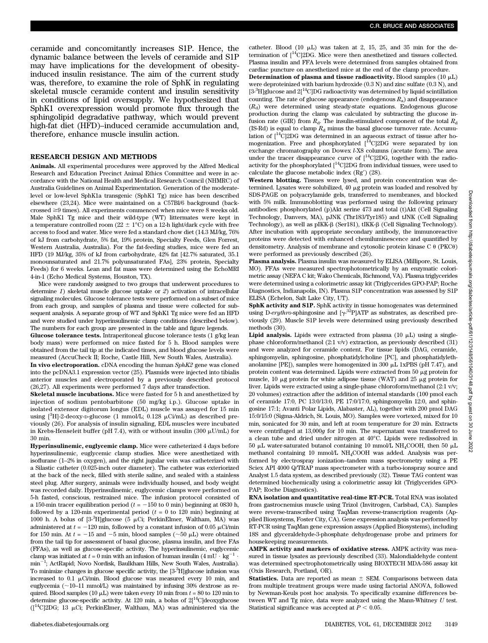ceramide and concomitantly increases S1P. Hence, the dynamic balance between the levels of ceramide and S1P may have implications for the development of obesityinduced insulin resistance. The aim of the current study was, therefore, to examine the role of SphK in regulating skeletal muscle ceramide content and insulin sensitivity in conditions of lipid oversupply. We hypothesized that SphK1 overexpression would promote flux through the sphingolipid degradative pathway, which would prevent high-fat diet (HFD)–induced ceramide accumulation and, therefore, enhance muscle insulin action.

## RESEARCH DESIGN AND METHODS

Animals. All experimental procedures were approved by the Alfred Medical Research and Education Precinct Animal Ethics Committee and were in accordance with the National Health and Medical Research Council (NHMRC) of Australia Guidelines on Animal Experimentation. Generation of the moderatelevel or low-level SphK1a transgenic (SphK1 Tg) mice has been described elsewhere (23,24). Mice were maintained on a C57Bl/6 background (backcrossed  $\geq$ 9 times). All experiments commenced when mice were 8 weeks old. Male SphK1 Tg mice and their wild-type (WT) littermates were kept in a temperature controlled room (22  $\pm$  1°C) on a 12-h light/dark cycle with free access to food and water. Mice were fed a standard chow diet (14.3 MJ/kg, 76% of kJ from carbohydrate, 5% fat, 19% protein, Specialty Feeds, Glen Forrest, Western Australia, Australia). For the fat-feeding studies, mice were fed an HFD (19 MJ/kg, 35% of kJ from carbohydrate, 42% fat [42.7% saturated, 35.1 monounsaturated and 21.7% polyunsaturated FAs], 23% protein, Specialty Feeds) for 6 weeks. Lean and fat mass were determined using the EchoMRI 4-in-1 (Echo Medical Systems, Houston, TX).

Mice were randomly assigned to two groups that underwent procedures to determine 1) skeletal muscle glucose uptake or 2) activation of intracellular signaling molecules. Glucose tolerance tests were performed on a subset of mice from each group, and samples of plasma and tissue were collected for subsequent analysis. A separate group of WT and SphK1 Tg mice were fed an HFD and were studied under hyperinsulinemic clamp conditions (described below). The numbers for each group are presented in the table and figure legends.

Glucose tolerance tests. Intraperitoneal glucose tolerance tests (1 g/kg lean body mass) were performed on mice fasted for 5 h. Blood samples were obtained from the tail tip at the indicated times, and blood glucose levels were measured (AccuCheck II; Roche, Castle Hill, New South Wales, Australia).

In vivo electroporation. cDNA encoding the human SphK2 gene was cloned into the pcDNA3.1 expression vector (25). Plasmids were injected into tibialis anterior muscles and electroporated by a previously described protocol (26,27). All experiments were performed 7 days after transfection.

Skeletal muscle incubations. Mice were fasted for 5 h and anesthetized by injection of sodium pentobarbitone (50 mg/kg i.p.). Glucose uptake in isolated extensor digitorum longus (EDL) muscle was assayed for 15 min using  $[{}^{3}H]$ -2-deoxy-D-glucose (1 mmol/L; 0.128  $\mu$ Ci/mL) as described previously (26). For analysis of insulin signaling, EDL muscles were incubated in Krebs-Henseleit buffer (pH 7.4), with or without insulin (300  $\mu$ U/mL) for 30 min.

Hyperinsulinemic, euglycemic clamp. Mice were catheterized 4 days before hyperinsulinemic, euglycemic clamp studies. Mice were anesthetized with isoflurane (1–2% in oxygen), and the right jugular vein was catheterized with a Silastic catheter (0.025-inch outer diameter). The catheter was exteriorized at the back of the neck, filled with sterile saline, and sealed with a stainless steel plug. After surgery, animals were individually housed, and body weight was recorded daily. Hyperinsulinemic, euglycemic clamps were performed on 5-h fasted, conscious, restrained mice. The infusion protocol consisted of a 150-min tracer equilibration period ( $t = -150$  to 0 min) beginning at 0830 h, followed by a 120-min experimental period ( $t = 0$  to 120 min) beginning at 1000 h. A bolus of  $[3<sup>3</sup>H]$ glucose (5 µCi; PerkinElmer, Waltham, MA) was administered at  $t = -120$  min, followed by a constant infusion of 0.05  $\mu$ Ci/min for 150 min. At  $t$  =  $-15$  and  $-5$  min, blood samples ( $\sim\!\!50$   $\rm \mu L)$  were obtained from the tail tip for assessment of basal glucose, plasma insulin, and free FAs (FFAs), as well as glucose-specific activity. The hyperinsulinemic, euglycemic clamp was initiated at  $t = 0$  min with an infusion of human insulin (4 mU  $\cdot$  kg<sup>-1</sup> min<sup>-1</sup>; ActRapid; Novo Nordisk, Baulkham Hills, New South Wales, Australia). To minimize changes in glucose specific activity, the [3-3H]glucose infusion was increased to 0.1  $\mu$ Ci/min. Blood glucose was measured every 10 min, and euglycemia  $(\sim10-11 \text{ mmol/L})$  was maintained by infusing 30% dextrose as required. Blood samples (10  $\mu$ L) were taken every 10 min from  $t = 80$  to 120 min to determine glucose-specific activity. At 120 min, a bolus of  $2[^{14}C]$ deoxyglucose  $({}^{14}C|2DG; 13 \mu Ci; PerkinElmer, Waltham, MA)$  was administered via the catheter. Blood (10  $\mu$ L) was taken at 2, 15, 25, and 35 min for the determination of  $[{}^{14}C]2DG$ . Mice were then anesthetized and tissues collected. Plasma insulin and FFA levels were determined from samples obtained from cardiac puncture on anesthetized mice at the end of the clamp procedure.

Determination of plasma and tissue radioactivity. Blood samples  $(10 \mu L)$ were deproteinized with barium hydroxide (0.3 N) and zinc sulfate (0.3 N), and  $[3<sup>3</sup>H]$ glucose and  $2[^{14}C]DG$  radioactivity was determined by liquid scintillation counting. The rate of glucose appearance (endogenous  $R<sub>o</sub>$ ) and disappearance  $(R<sub>d</sub>)$  were determined using steady-state equations. Endogenous glucose production during the clamp was calculated by subtracting the glucose infusion rate (GIR) from  $R_d$ . The insulin-stimulated component of the total  $R_d$ (IS-Rd) is equal to clamp  $R_d$  minus the basal glucose turnover rate. Accumulation of  $[{}^{14}C]2DG$  was determined in an aqueous extract of tissue after homogenization. Free and phosphorylated  $[$ <sup>14</sup>C $]$ 2DG were separated by ion exchange chromatography on Dowex l-X8 columns (acetate form). The area under the tracer disappearance curve of  $\int_{0}^{14}C|2DG$ , together with the radioactivity for the phosphorylated  $[$ <sup>14</sup>C $]2DG$  from individual tissues, were used to calculate the glucose metabolic index  $(Rg')$  (28).

Western blotting. Tissues were lysed, and protein concentration was determined. Lysates were solubilized,  $40 \mu$ g protein was loaded and resolved by SDS-PAGE on polyacrylamide gels, transferred to membranes, and blocked with 5% milk. Immunoblotting was performed using the following primary antibodies: phosphorylated (p)Akt serine 473 and total (t)Akt (Cell Signaling Technology, Danvers, MA), pJNK (Thr183/Tyr185) and tJNK (Cell Signaling Technology), as well as pIKK- $\beta$  (Ser181), tIKK- $\beta$  (Cell Signaling Technology). After incubation with appropriate secondary antibody, the immunoreactive proteins were detected with enhanced chemiluminescence and quantified by densitometry. Analysis of membrane and cytosolic protein kinase C  $\theta$  (PKC $\theta$ ) were performed as previously described (26).

Plasma analysis. Plasma insulin was measured by ELISA (Millipore, St. Louis, MO). FFAs were measured spectrophotometrically by an enzymatic colorimetric assay (NEFA C kit; Wako Chemicals, Richmond, VA). Plasma triglycerides were determined using a colorimetric assay kit (Triglycerides GPO-PAP; Roche Diagnostics, Indianapolis, IN). Plasma S1P concentration was assessed by S1P ELISA (Echelon, Salt Lake City, UT).

SphK activity and S1P. SphK activity in tissue homogenates was determined using D-erythro-sphingosine and  $[\gamma^{22}P]$ ATP as substrates, as described pre-<br>viously (29). Muscle S1P layels were determined using previously described viously (29). Muscle S1P levels were determined using previously described methods (30).

Lipid analysis. Lipids were extracted from plasma  $(10 \mu L)$  using a singlephase chloroform/methanol (2:1 v/v) extraction, as previously described (31) and were analyzed for ceramide content. For tissue lipids (DAG, ceramide, sphingomyelin, sphingosine, phosphatidylcholine [PC], and phosphatidylethanolamine  $[PE]$ ), samples were homogenized in 300  $\mu$ L 1xPBS (pH 7.47), and protein content was determined. Lipids were extracted from  $50 \mu$ g protein for muscle, 10  $\mu$ g protein for white adipose tissue (WAT) and 25  $\mu$ g protein for liver. Lipids were extracted using a single-phase chloroform/methanol (2:1 v/v; 20 volumes) extraction after the addition of internal standards (100 pmol each of ceramide 17:0, PC 13:0/13:0, PE 17:0/17:0, sphingomyelin 12:0, and sphingosine 17:1; Avanti Polar Lipids, Alabaster, AL), together with 200 pmol DAG 15:0/15:0 (Sigma-Aldrich, St. Louis, MO). Samples were vortexed, mixed for 10 min, sonicated for 30 min, and left at room temperature for 20 min. Extracts were centrifuged at 13,000g for 10 min. The supernatant was transferred to a clean tube and dried under nitrogen at 40°C. Lipids were redissolved in 50 µL water-saturated butanol containing 10 mmol/L NH<sub>4</sub>COOH, then 50 µL methanol containing 10 mmol/L NH4COOH was added. Analysis was performed by electrospray ionization–tandem mass spectrometry using a PE Sciex API 4000 Q/TRAP mass spectrometer with a turbo-ionspray source and Analyst 1.5 data system, as described previously (32). Tissue TAG content was determined biochemically using a colorimetric assay kit (Triglycerides GPO-PAP; Roche Diagnostics).

RNA isolation and quantitative real-time RT-PCR. Total RNA was isolated from gastrocnemius muscle using Trizol (Invitrogen, Carlsbad, CA). Samples were reverse-transcribed using TaqMan reverse-transcription reagents (Applied Biosystems, Foster City, CA). Gene expression analysis was performed by RT-PCR using TaqMan gene expression assays (Applied Biosystems), including 18S and glyceraldehyde-3-phosphate dehydrogenase probe and primers for housekeeping measurements.

AMPK activity and markers of oxidative stress. AMPK activity was measured in tissue lysates as previously described (33). Malondialdehyde content was determined spectrophotometrically using BIOXTECH MDA-586 assay kit (Oxis Research, Portland, OR).

Statistics. Data are reported as mean  $\pm$  SEM. Comparisons between data from multiple treatment groups were made using factorial ANOVA, followed by Newman-Keuls post hoc analysis. To specifically examine differences between WT and Tg mice, data were analyzed using the Mann-Whitney  $U$  test. Statistical significance was accepted at  $P < 0.05$ .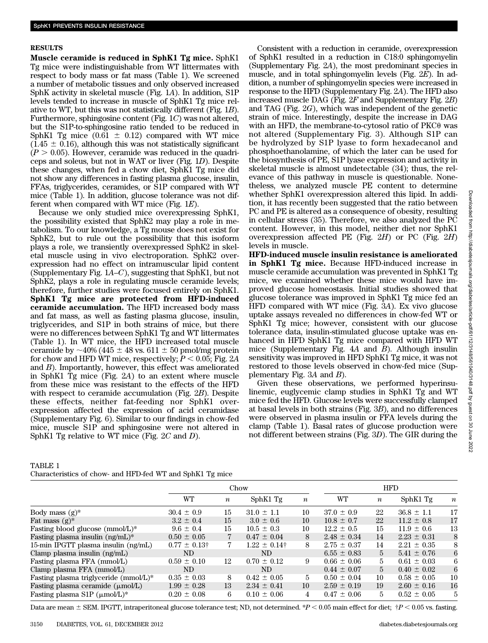### RESULTS

Muscle ceramide is reduced in SphK1 Tg mice. SphK1 Tg mice were indistinguishable from WT littermates with respect to body mass or fat mass (Table 1). We screened a number of metabolic tissues and only observed increased SphK activity in skeletal muscle (Fig. 1A). In addition, S1P levels tended to increase in muscle of SphK1 Tg mice relative to WT, but this was not statistically different (Fig. 1B). Furthermore, sphingosine content (Fig. 1C) was not altered, but the S1P-to-sphingosine ratio tended to be reduced in SphK1 Tg mice  $(0.61 \pm 0.12)$  compared with WT mice  $(1.45 \pm 0.16)$ , although this was not statistically significant  $(P > 0.05)$ . However, ceramide was reduced in the quadriceps and soleus, but not in WAT or liver (Fig. 1D). Despite these changes, when fed a chow diet, SphK1 Tg mice did not show any differences in fasting plasma glucose, insulin, FFAs, triglycerides, ceramides, or S1P compared with WT mice (Table 1). In addition, glucose tolerance was not different when compared with WT mice (Fig. 1E).

Because we only studied mice overexpressing SphK1, the possibility existed that SphK2 may play a role in metabolism. To our knowledge, a Tg mouse does not exist for SphK2, but to rule out the possibility that this isoform plays a role, we transiently overexpressed SphK2 in skeletal muscle using in vivo electroporation. SphK2 overexpression had no effect on intramuscular lipid content (Supplementary Fig.  $1A-C$ ), suggesting that SphK1, but not SphK2, plays a role in regulating muscle ceramide levels; therefore, further studies were focused entirely on SphK1. SphK1 Tg mice are protected from HFD-induced ceramide accumulation. The HFD increased body mass and fat mass, as well as fasting plasma glucose, insulin, triglycerides, and S1P in both strains of mice, but there were no differences between SphK1 Tg and WT littermates (Table 1). In WT mice, the HFD increased total muscle ceramide by  $\sim$ 40% (445  $\pm$  48 vs. 611  $\pm$  50 pmol/mg protein for chow and HFD WT mice, respectively;  $P < 0.05$ ; Fig. 2A and B). Importantly, however, this effect was ameliorated in SphK1 Tg mice (Fig. 2A) to an extent where muscle from these mice was resistant to the effects of the HFD with respect to ceramide accumulation (Fig. 2B). Despite these effects, neither fat-feeding nor SphK1 overexpression affected the expression of acid ceramidase ([Supplementary Fig. 6\)](http://diabetes.diabetesjournals.org/lookup/suppl/doi:10.2337/db12-0029/-/DC1). Similar to our findings in chow-fed mice, muscle S1P and sphingosine were not altered in SphK1 Tg relative to WT mice (Fig. 2C and D).

Consistent with a reduction in ceramide, overexpression of SphK1 resulted in a reduction in C18:0 sphingomyelin ([Supplementary Fig. 2](http://diabetes.diabetesjournals.org/lookup/suppl/doi:10.2337/db12-0029/-/DC1)A), the most predominant species in muscle, and in total sphingomyelin levels (Fig. 2E). In addition, a number of sphingomyelin species were increased in response to the HFD ([Supplementary Fig. 2](http://diabetes.diabetesjournals.org/lookup/suppl/doi:10.2337/db12-0029/-/DC1)A). The HFD also increased muscle DAG (Fig.  $2F$  and Supplementary Fig.  $2B$ ) and TAG (Fig. 2G), which was independent of the genetic strain of mice. Interestingly, despite the increase in DAG with an HFD, the membrane-to-cytosol ratio of  $PKC\theta$  was not altered ([Supplementary Fig. 3](http://diabetes.diabetesjournals.org/lookup/suppl/doi:10.2337/db12-0029/-/DC1)). Although S1P can be hydrolyzed by S1P lyase to form hexadecanol and phosphoethanolamine, of which the later can be used for the biosynthesis of PE, S1P lyase expression and activity in skeletal muscle is almost undetectable (34); thus, the relevance of this pathway in muscle is questionable. Nonetheless, we analyzed muscle PE content to determine whether SphK1 overexpression altered this lipid. In addition, it has recently been suggested that the ratio between PC and PE is altered as a consequence of obesity, resulting in cellular stress (35). Therefore, we also analyzed the PC content. However, in this model, neither diet nor SphK1 overexpression affected PE (Fig.  $2H$ ) or PC (Fig.  $2H$ ) levels in muscle.

HFD-induced muscle insulin resistance is ameliorated in SphK1 Tg mice. Because HFD-induced increase in muscle ceramide accumulation was prevented in SphK1 Tg mice, we examined whether these mice would have improved glucose homeostasis. Initial studies showed that glucose tolerance was improved in SphK1 Tg mice fed an HFD compared with WT mice (Fig. 3A). Ex vivo glucose uptake assays revealed no differences in chow-fed WT or SphK1 Tg mice; however, consistent with our glucose tolerance data, insulin-stimulated glucose uptake was enhanced in HFD SphK1 Tg mice compared with HFD WT mice [\(Supplementary Fig. 4](http://diabetes.diabetesjournals.org/lookup/suppl/doi:10.2337/db12-0029/-/DC1)A and B). Although insulin sensitivity was improved in HFD SphK1 Tg mice, it was not restored to those levels observed in chow-fed mice ([Sup](http://diabetes.diabetesjournals.org/lookup/suppl/doi:10.2337/db12-0029/-/DC1)plementary Fig.  $3A$  and  $B$ ).

Given these observations, we performed hyperinsulinemic, euglycemic clamp studies in SphK1 Tg and WT mice fed the HFD. Glucose levels were successfully clamped at basal levels in both strains (Fig. 3B), and no differences were observed in plasma insulin or FFA levels during the clamp (Table 1). Basal rates of glucose production were not different between strains (Fig. 3D). The GIR during the

| o.<br>۱ñ۱. |  |  |
|------------|--|--|
|------------|--|--|

| Characteristics of chow- and HFD-fed WT and SphK1 Tg mice |  |  |  |  |  |
|-----------------------------------------------------------|--|--|--|--|--|
|                                                           |  |  |  |  |  |

|                                              | Chow              |                  |                   |                  | <b>HFD</b>      |                  |                 |                  |
|----------------------------------------------|-------------------|------------------|-------------------|------------------|-----------------|------------------|-----------------|------------------|
|                                              | WT                | $\boldsymbol{n}$ | SphK1 Tg          | $\boldsymbol{n}$ | WT              | $\boldsymbol{n}$ | SphK1 Tg        | $\boldsymbol{n}$ |
| Body mass $(g)^*$                            | $30.4 \pm 0.9$    | 15               | $31.0 \pm 1.1$    | 10               | $37.0 \pm 0.9$  | 22               | $36.8 \pm 1.1$  | 17               |
| Fat mass $(g)^*$                             | $3.2 \pm 0.4$     | 15               | $3.0 \pm 0.6$     | 10               | $10.8 \pm 0.7$  | 22               | $11.2 \pm 0.8$  | 17               |
| Fasting blood glucose ( $mmol/L$ )*          | $9.6 \pm 0.4$     | 15               | $10.5 \pm 0.3$    | 10               | $12.2 \pm 0.5$  | 15               | $11.9 \pm 0.6$  | 13               |
| Fasting plasma insulin $(ng/mL)^*$           | $0.50 \pm 0.05$   |                  | $0.47 \pm 0.04$   | 8                | $2.48 \pm 0.34$ | 14               | $2.23 \pm 0.31$ | 8                |
| 15-min IPGTT plasma insulin $(ng/mL)$        | $0.77 \pm 0.13$ † | $7\phantom{.}$   | $1.22 \pm 0.14$ † | 8                | $2.75 \pm 0.37$ | 14               | $2.21 \pm 0.35$ | 8                |
| Clamp plasma insulin $(ng/mL)$               | ND                |                  | ND.               |                  | $6.55 \pm 0.83$ | 5                | $5.41 \pm 0.76$ | 6                |
| Fasting plasma FFA (mmol/L)                  | $0.59 \pm 0.10$   | 12               | $0.70 \pm 0.12$   | 9                | $0.66 \pm 0.06$ | 5                | $0.61 \pm 0.03$ | 6                |
| Clamp plasma $FFA$ (mmol/L)                  | ND                |                  | ND.               |                  | $0.44 \pm 0.07$ | 5                | $0.40 \pm 0.02$ | 6                |
| Fasting plasma triglyceride (mmol/L)*        | $0.35 \pm 0.03$   | 8                | $0.42 \pm 0.05$   | 5                | $0.50 \pm 0.04$ | 10               | $0.58 \pm 0.05$ | 10               |
| Fasting plasma ceramide $(\mu \text{mol/L})$ | $1.99 \pm 0.28$   | 13               | $2.34 \pm 0.41$   | 10               | $2.59 \pm 0.19$ | 19               | $2.60 \pm 0.16$ | 16               |
| Fasting plasma S1P $(\mu \text{mol/L})^*$    | $0.20 \pm 0.08$   | 6                | $0.10 \pm 0.06$   | 4                | $0.47 \pm 0.06$ | 5                | $0.52 \pm 0.05$ | 5                |

Data are mean  $\pm$  SEM. IPGTT, intraperitoneal glucose tolerance test; ND, not determined. \*P  $<$  0.05 main effect for diet;  $\pm P$   $<$  0.05 vs. fasting.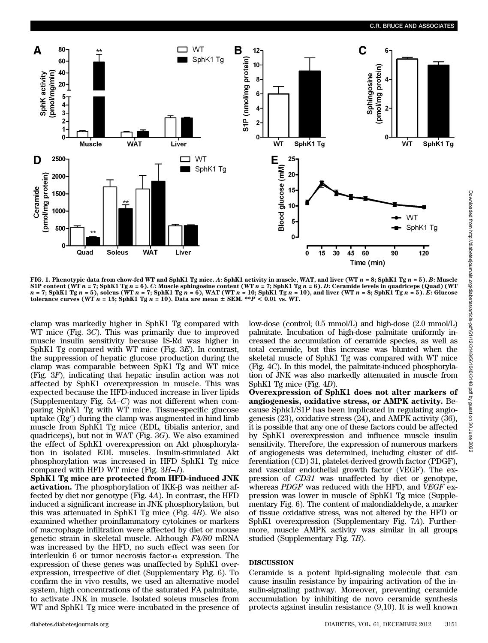

FIG. 1. Phenotypic data from chow-fed WT and SphK1 Tg mice. A: SphK1 activity in muscle, WAT, and liver (WT  $n = 8$ ; SphK1 Tg  $n = 5$ ). B: Muscle S1P content (WT  $n = 7$ ; SphK1 Tg  $n = 6$ ). C: Muscle sphingosine content (WT  $n = 7$ ; SphK1 Tg  $n = 6$ ). D: Ceramide levels in quadriceps (Quad) (WT  $n = 7$ ; SphK1 Tg  $n = 5$ ), soleus (WT  $n = 7$ ; SphK1 Tg  $n = 6$ ), WAT (WT  $n = 10$ ; SphK1 Tg  $n = 10$ ), and liver (WT  $n = 8$ ; SphK1 Tg  $n = 5$ ). E: Glucose tolerance curves (WT  $n = 15$ ; SphK1 Tg  $n = 10$ ). Data are mean  $\pm$  SEM. \*\*P < 0.01 vs. WT.

clamp was markedly higher in SphK1 Tg compared with WT mice (Fig. 3C). This was primarily due to improved muscle insulin sensitivity because IS-Rd was higher in SphK1 Tg compared with WT mice (Fig. 3E). In contrast, the suppression of hepatic glucose production during the clamp was comparable between SpK1 Tg and WT mice (Fig. 3F), indicating that hepatic insulin action was not affected by SphK1 overexpression in muscle. This was expected because the HFD-induced increase in liver lipids ([Supplementary Fig. 5](http://diabetes.diabetesjournals.org/lookup/suppl/doi:10.2337/db12-0029/-/DC1)A–C) was not different when comparing SphK1 Tg with WT mice. Tissue-specific glucose uptake (Rg') during the clamp was augmented in hind limb muscle from SphK1 Tg mice (EDL, tibialis anterior, and quadriceps), but not in WAT (Fig. 3G). We also examined the effect of SphK1 overexpression on Akt phosphorylation in isolated EDL muscles. Insulin-stimulated Akt phosphorylation was increased in HFD SphK1 Tg mice compared with HFD WT mice (Fig. 3H–J).

SphK1 Tg mice are protected from HFD-induced JNK activation. The phosphorylation of  $IKK-\beta$  was neither affected by diet nor genotype (Fig. 4A). In contrast, the HFD induced a significant increase in JNK phosphorylation, but this was attenuated in SphK1 Tg mice (Fig. 4B). We also examined whether proinflammatory cytokines or markers of macrophage infiltration were affected by diet or mouse genetic strain in skeletal muscle. Although F4/80 mRNA was increased by the HFD, no such effect was seen for interleukin 6 or tumor necrosis factor- $\alpha$  expression. The expression of these genes was unaffected by SphK1 overexpression, irrespective of diet ([Supplementary Fig. 6\)](http://diabetes.diabetesjournals.org/lookup/suppl/doi:10.2337/db12-0029/-/DC1). To confirm the in vivo results, we used an alternative model system, high concentrations of the saturated FA palmitate, to activate JNK in muscle. Isolated soleus muscles from WT and SphK1 Tg mice were incubated in the presence of

low-dose (control; 0.5 mmol/L) and high-dose (2.0 mmol/L) palmitate. Incubation of high-dose palmitate uniformly increased the accumulation of ceramide species, as well as total ceramide, but this increase was blunted when the skeletal muscle of SphK1 Tg was compared with WT mice (Fig. 4C). In this model, the palmitate-induced phosphorylation of JNK was also markedly attenuated in muscle from SphK1 Tg mice (Fig. 4D). Overexpression of SphK1 does not alter markers of

angiogenesis, oxidative stress, or AMPK activity. Because Sphk1/S1P has been implicated in regulating angiogenesis (23), oxidative stress (24), and AMPK activity (36), it is possible that any one of these factors could be affected by SphK1 overexpression and influence muscle insulin sensitivity. Therefore, the expression of numerous markers of angiogenesis was determined, including cluster of differentiation (CD) 31, platelet-derived growth factor (PDGF), and vascular endothelial growth factor (VEGF). The expression of CD31 was unaffected by diet or genotype, whereas PDGF was reduced with the HFD, and VEGF expression was lower in muscle of SphK1 Tg mice [\(Supple](http://diabetes.diabetesjournals.org/lookup/suppl/doi:10.2337/db12-0029/-/DC1)[mentary Fig. 6\)](http://diabetes.diabetesjournals.org/lookup/suppl/doi:10.2337/db12-0029/-/DC1). The content of malondialdehyde, a marker of tissue oxidative stress, was not altered by the HFD or SphK1 overexpression ([Supplementary Fig. 7](http://diabetes.diabetesjournals.org/lookup/suppl/doi:10.2337/db12-0029/-/DC1)A). Furthermore, muscle AMPK activity was similar in all groups studied [\(Supplementary Fig. 7](http://diabetes.diabetesjournals.org/lookup/suppl/doi:10.2337/db12-0029/-/DC1)B).

## DISCUSSION

Ceramide is a potent lipid-signaling molecule that can cause insulin resistance by impairing activation of the insulin-signaling pathway. Moreover, preventing ceramide accumulation by inhibiting de novo ceramide synthesis protects against insulin resistance (9,10). It is well known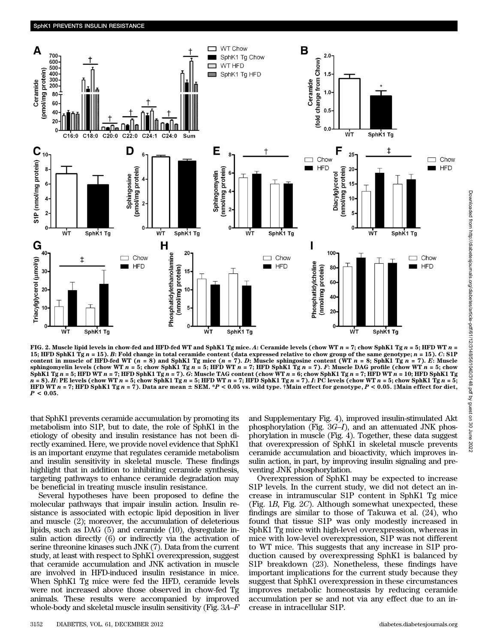

FIG. 2. Muscle lipid levels in chow-fed and HFD-fed WT and SphK1 Tg mice. A: Ceramide levels (chow WT  $n = 7$ ; chow SphK1 Tg  $n = 5$ ; HFD WT  $n = 7$ 15; HFD SphK1 Tg n = 15). B: Fold change in total ceramide content (data expressed relative to chow group of the same genotype; n = 15). C: S1P<br>content in muscle of HFD-fed WT (n = 8) and SphK1 Tg mice (n = 7). D: Muscle s SphK1 Tg  $n = 5$ ; HFD WT  $n = 7$ ; HFD SphK1 Tg  $n = 7$ ). G: Muscle TAG content (chow WT  $n = 6$ ; chow SphK1 Tg  $n = 7$ ; HFD WT  $n = 10$ ; HFD SphK1 Tg  $n = 8$ ). H: PE levels (chow WT  $n = 5$ ; chow SphK1 Tg  $n = 5$ ; HFD WT  $n = 7$ ; HFD SphK1 Tg  $n = 7$ ). I: PC levels (chow WT  $n = 5$ ; chow SphK1 Tg  $n = 5$ ; HFD WT n = 7; HFD SphK1 Tg n = 7). Data are mean  $\pm$  SEM. \*P < 0.05 vs. wild type. †Main effect for genotype, P < 0.05. ‡Main effect for diet,  $P < 0.05$ .

that SphK1 prevents ceramide accumulation by promoting its metabolism into S1P, but to date, the role of SphK1 in the etiology of obesity and insulin resistance has not been directly examined. Here, we provide novel evidence that SphK1 is an important enzyme that regulates ceramide metabolism and insulin sensitivity in skeletal muscle. These findings highlight that in addition to inhibiting ceramide synthesis, targeting pathways to enhance ceramide degradation may be beneficial in treating muscle insulin resistance.

Several hypotheses have been proposed to define the molecular pathways that impair insulin action. Insulin resistance is associated with ectopic lipid deposition in liver and muscle (2); moreover, the accumulation of deleterious lipids, such as DAG (5) and ceramide (10), dysregulate insulin action directly (6) or indirectly via the activation of serine threonine kinases such JNK (7). Data from the current study, at least with respect to SphK1 overexpression, suggest that ceramide accumulation and JNK activation in muscle are involved in HFD-induced insulin resistance in mice. When SphK1 Tg mice were fed the HFD, ceramide levels were not increased above those observed in chow-fed Tg animals. These results were accompanied by improved whole-body and skeletal muscle insulin sensitivity (Fig.  $3A-F$  and [Supplementary Fig. 4](http://diabetes.diabetesjournals.org/lookup/suppl/doi:10.2337/db12-0029/-/DC1)), improved insulin-stimulated Akt phosphorylation (Fig. 3G–I), and an attenuated JNK phosphorylation in muscle (Fig. 4). Together, these data suggest that overexpression of SphK1 in skeletal muscle prevents ceramide accumulation and bioactivity, which improves insulin action, in part, by improving insulin signaling and preventing JNK phosphorylation.

Overexpression of SphK1 may be expected to increase S1P levels. In the current study, we did not detect an increase in intramuscular S1P content in SphK1 Tg mice (Fig. 1B, Fig. 2C). Although somewhat unexpected, these findings are similar to those of Takuwa et al. (24), who found that tissue S1P was only modestly increased in SphK1 Tg mice with high-level overexpression, whereas in mice with low-level overexpression, S1P was not different to WT mice. This suggests that any increase in S1P production caused by overexpressing SphK1 is balanced by S1P breakdown (23). Nonetheless, these findings have important implications for the current study because they suggest that SphK1 overexpression in these circumstances improves metabolic homeostasis by reducing ceramide accumulation per se and not via any effect due to an increase in intracellular S1P.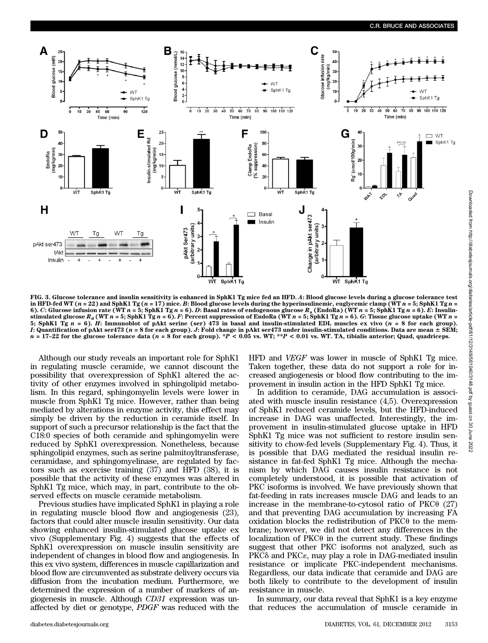

FIG. 3. Glucose tolerance and insulin sensitivity is enhanced in SphK1 Tg mice fed an HFD. A: Blood glucose levels during a glucose tolerance test in HFD-fed WT ( $n = 22$ ) and SphK1 Tg ( $n = 17$ ) mice. B: Blood glucose levels during the hyperinsulinemic, euglycemic clamp (WT  $n = 5$ ; SphK1 Tg  $n = 5$ 6). C: Glucose infusion rate (WT n = 5; SphK1 Tg n = 6). D: Basal rates of endogenous glucose  $R_a$  (EndoRa) (WT n = 5; SphK1 Tg n = 6). E: Insulinstimulated glucose  $R_d$  (WT n = 5; SphK1 Tg n = 6). F: Percent suppression of EndoRa (WT n = 5; SphK1 Tg n = 6). G: Tissue glucose uptake (WT n = 5; SphK1 Tg  $n = 6$ ). H: Immunoblot of pAkt serine (ser) 473 in basal and insulin-stimulated EDL muscles ex vivo ( $n = 8$  for each group). I: Quantification of pAkt ser473 ( $n = 8$  for each group). J: Fold change in pAkt ser473 under insulin-stimulated conditions. Data are mean  $\pm$  SEM;  $n = 17-22$  for the glucose tolerance data ( $n = 8$  for each group). \*P < 0.05 vs. WT; \*\*P < 0.01 vs. WT. TA, tibialis anterior; Quad, quadriceps.

Although our study reveals an important role for SphK1 in regulating muscle ceramide, we cannot discount the possibility that overexpression of SphK1 altered the activity of other enzymes involved in sphingolipid metabolism. In this regard, sphingomyelin levels were lower in muscle from SphK1 Tg mice. However, rather than being mediated by alterations in enzyme activity, this effect may simply be driven by the reduction in ceramide itself. In support of such a precursor relationship is the fact that the C18:0 species of both ceramide and sphingomyelin were reduced by SphK1 overexpression. Nonetheless, because sphingolipid enzymes, such as serine palmitoyltransferase, ceramidase, and sphingomyelinase, are regulated by factors such as exercise training (37) and HFD (38), it is possible that the activity of these enzymes was altered in SphK1 Tg mice, which may, in part, contribute to the observed effects on muscle ceramide metabolism.

Previous studies have implicated SphK1 in playing a role in regulating muscle blood flow and angiogenesis (23), factors that could alter muscle insulin sensitivity. Our data showing enhanced insulin-stimulated glucose uptake ex vivo ([Supplementary Fig. 4](http://diabetes.diabetesjournals.org/lookup/suppl/doi:10.2337/db12-0029/-/DC1)) suggests that the effects of SphK1 overexpression on muscle insulin sensitivity are independent of changes in blood flow and angiogenesis. In this ex vivo system, differences in muscle capillarization and blood flow are circumvented as substrate delivery occurs via diffusion from the incubation medium. Furthermore, we determined the expression of a number of markers of an-<br>giogenesis in muscle. Although *CD31* expression was ungiogenesis in muscle. Although *CD31* expression was un-<br>affected by diet or genotype. *PDGF* was reduced with the affected by diet or genotype, PDGF was reduced with the

HFD and VEGF was lower in muscle of SphK1 Tg mice. Taken together, these data do not support a role for increased angiogenesis or blood flow contributing to the improvement in insulin action in the HFD SphK1 Tg mice.

In addition to ceramide, DAG accumulation is associated with muscle insulin resistance (4,5). Overexpression of SphK1 reduced ceramide levels, but the HFD-induced increase in DAG was unaffected. Interestingly, the improvement in insulin-stimulated glucose uptake in HFD SphK1 Tg mice was not sufficient to restore insulin sensitivity to chow-fed levels ([Supplementary Fig. 4\)](http://diabetes.diabetesjournals.org/lookup/suppl/doi:10.2337/db12-0029/-/DC1). Thus, it is possible that DAG mediated the residual insulin resistance in fat-fed SphK1 Tg mice. Although the mechanism by which DAG causes insulin resistance is not completely understood, it is possible that activation of PKC isoforms is involved. We have previously shown that fat-feeding in rats increases muscle DAG and leads to an increase in the membrane-to-cytosol ratio of PKC $\theta$  (27) and that preventing DAG accumulation by increasing FA  $oxidation blocks the redistribution of PKC $\theta$  to the mem$ brane; however, we did not detect any differences in the  $localization of PKC $\theta$  in the current study. These findings$ suggest that other PKC isoforms not analyzed, such as PKC $\delta$  and PKC $\varepsilon$ , may play a role in DAG-mediated insulin resistance or implicate PKC-independent mechanisms. Regardless, our data indicate that ceramide and DAG are both likely to contribute to the development of insulin resistance in muscle.

In summary, our data reveal that SphK1 is a key enzyme that reduces the accumulation of muscle ceramide in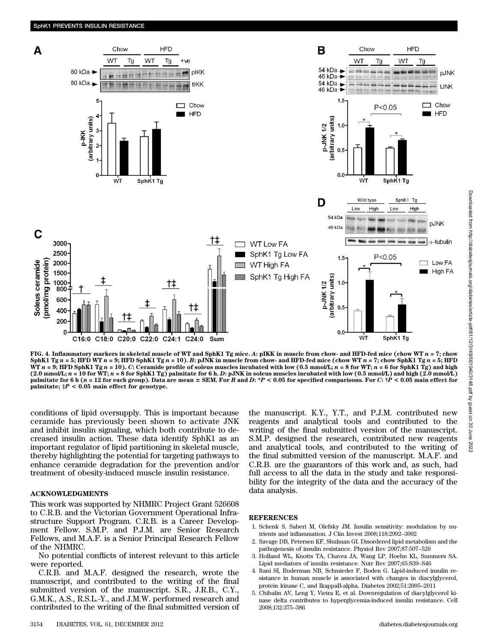

FIG. 4. Inflammatory markers in skeletal muscle of WT and SphK1 Tg mice. A: pIKK in muscle from chow- and HFD-fed mice (chow WT  $n = 7$ ; chow SphK1 Tg  $n = 5$ ; HFD WT  $n = 9$ ; HFD SphK1 Tg  $n = 10$ ). B: pJNK in muscle from chow- and HFD-fed mice (chow WT  $n = 7$ ; chow SphK1 Tg  $n = 5$ ; HFD  $\hat{W}T n = 9$ ; HFD SphK1 Tg  $n = 10$ ). C: Ceramide profile of soleus muscles incubated with low (0.5 mmol/L;  $n = 8$  for WT;  $n = 6$  for SphK1 Tg) and high  $(2.0 \text{ mmol/L}; n = 10 \text{ for WT}; n = 8 \text{ for SphK1 Tg})$  palmitate for 6 h. D: pJNK in soleus muscles incubated with low  $(0.5 \text{ mmol/L})$  and high  $(2.0 \text{ mmol/L})$ palmitate for 6 h (n = 12 for each group). Data are mean  $\pm$  SEM. For B and D: \*P < 0.05 for specified comparisons. For C:  $\uparrow$ P < 0.05 main effect for palmitate;  $\ddagger P < 0.05$  main effect for genotype.

conditions of lipid oversupply. This is important because ceramide has previously been shown to activate JNK and inhibit insulin signaling, which both contribute to decreased insulin action. These data identify SphK1 as an important regulator of lipid partitioning in skeletal muscle, thereby highlighting the potential for targeting pathways to enhance ceramide degradation for the prevention and/or treatment of obesity-induced muscle insulin resistance.

## ACKNOWLEDGMENTS

This work was supported by NHMRC Project Grant 526608 to C.R.B. and the Victorian Government Operational Infrastructure Support Program. C.R.B. is a Career Development Fellow. S.M.P. and P.J.M. are Senior Research Fellows, and M.A.F. is a Senior Principal Research Fellow of the NHMRC.

No potential conflicts of interest relevant to this article were reported.

C.R.B. and M.A.F. designed the research, wrote the manuscript, and contributed to the writing of the final submitted version of the manuscript. S.R., J.R.B., C.Y., G.M.K., A.S., R.S.L.-Y., and J.M.W. performed research and contributed to the writing of the final submitted version of the manuscript. K.Y., Y.T., and P.J.M. contributed new reagents and analytical tools and contributed to the writing of the final submitted version of the manuscript. S.M.P. designed the research, contributed new reagents and analytical tools, and contributed to the writing of the final submitted version of the manuscript. M.A.F. and C.R.B. are the guarantors of this work and, as such, had full access to all the data in the study and take responsibility for the integrity of the data and the accuracy of the data analysis.

#### REFERENCES

- 1. Schenk S, Saberi M, Olefsky JM. Insulin sensitivity: modulation by nutrients and inflammation. J Clin Invest 2008;118:2992–3002
- 2. Savage DB, Petersen KF, Shulman GI. Disordered lipid metabolism and the pathogenesis of insulin resistance. Physiol Rev 2007;87:507–520
- 3. Holland WL, Knotts TA, Chavez JA, Wang LP, Hoehn KL, Summers SA. Lipid mediators of insulin resistance. Nutr Rev 2007;65:S39–S46
- 4. Itani SI, Ruderman NB, Schmieder F, Boden G. Lipid-induced insulin resistance in human muscle is associated with changes in diacylglycerol, protein kinase C, and IkappaB-alpha. Diabetes 2002;51:2005–2011
- 5. Chibalin AV, Leng Y, Vieira E, et al. Downregulation of diacylglycerol kinase delta contributes to hyperglycemia-induced insulin resistance. Cell 2008;132:375–386